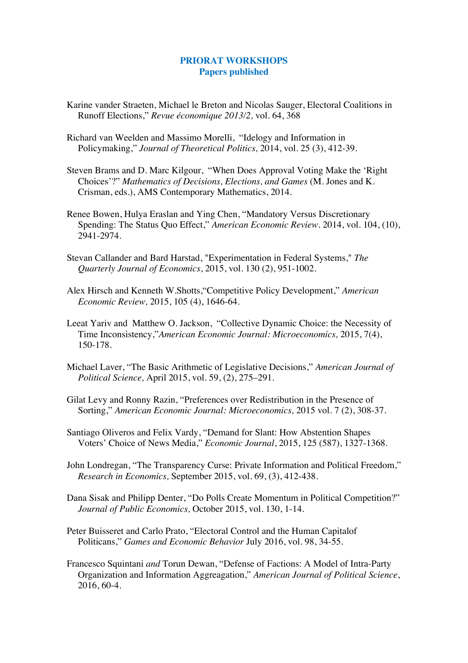## **PRIORAT WORKSHOPS Papers published**

- Karine vander Straeten, Michael le Breton and Nicolas Sauger, Electoral Coalitions in Runoff Elections," *Revue économique 2013/2,* vol. 64, 368
- Richard van Weelden and Massimo Morelli, "Idelogy and Information in Policymaking," *Journal of Theoretical Politics,* 2014, vol. 25 (3), 412-39.
- Steven Brams and D. Marc Kilgour, "When Does Approval Voting Make the 'Right Choices'?" *Mathematics of Decisions, Elections, and Games* (M. Jones and K. Crisman, eds.), AMS Contemporary Mathematics, 2014.
- Renee Bowen, Hulya Eraslan and Ying Chen, "Mandatory Versus Discretionary Spending: The Status Quo Effect," *American Economic Review.* 2014, vol. 104, (10), 2941-2974.
- Stevan Callander and Bard Harstad, "Experimentation in Federal Systems," *The Quarterly Journal of Economics*, 2015, vol. 130 (2), 951-1002.
- Alex Hirsch and Kenneth W.Shotts,"Competitive Policy Development," *American Economic Review,* 2015, 105 (4), 1646-64.
- Leeat Yariv and Matthew O. Jackson, "Collective Dynamic Choice: the Necessity of Time Inconsistency,"*American Economic Journal: Microeconomics,* 2015, 7(4), 150-178.
- Michael Laver, "The Basic Arithmetic of Legislative Decisions," *American Journal of Political Science,* April 2015, vol. 59, (2), 275–291.
- Gilat Levy and Ronny Razin, "Preferences over Redistribution in the Presence of Sorting," *American Economic Journal: Microeconomics,* 2015 vol. 7 (2), 308-37.
- Santiago Oliveros and Felix Vardy, "Demand for Slant: How Abstention Shapes Voters' Choice of News Media," *Economic Journal*, 2015, 125 (587), 1327-1368.
- John Londregan, "The Transparency Curse: Private Information and Political Freedom," *Research in Economics,* September 2015, vol. 69, (3), 412-438.
- Dana Sisak and Philipp Denter, "Do Polls Create Momentum in Political Competition?" *Journal of Public Economics,* October 2015, vol. 130, 1-14.
- Peter Buisseret and Carlo Prato, "Electoral Control and the Human Capitalof Politicans," *Games and Economic Behavior* July 2016, vol. 98, 34-55.
- Francesco Squintani *and* Torun Dewan, "Defense of Factions: A Model of Intra-Party Organization and Information Aggreagation," *American Journal of Political Science*, 2016, 60-4.